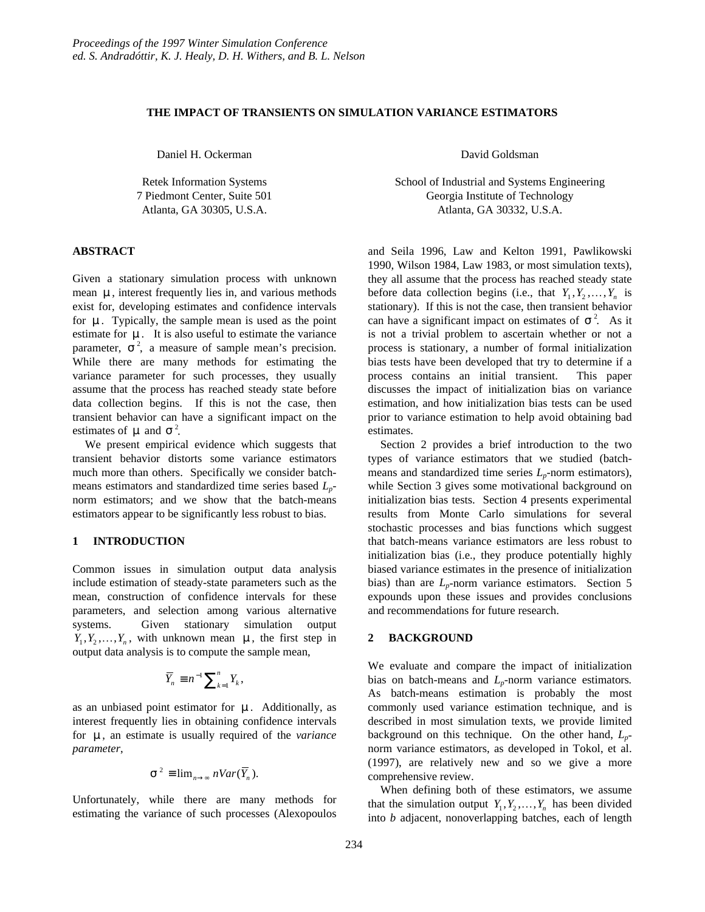# **THE IMPACT OF TRANSIENTS ON SIMULATION VARIANCE ESTIMATORS**

Daniel H. Ockerman

Retek Information Systems 7 Piedmont Center, Suite 501 Atlanta, GA 30305, U.S.A.

#### **ABSTRACT**

Given a stationary simulation process with unknown mean **m**, interest frequently lies in, and various methods exist for, developing estimates and confidence intervals for **m**. Typically, the sample mean is used as the point estimate for **m**. It is also useful to estimate the variance parameter,  $s^2$ , a measure of sample mean's precision. While there are many methods for estimating the variance parameter for such processes, they usually assume that the process has reached steady state before data collection begins. If this is not the case, then transient behavior can have a significant impact on the estimates of  $\boldsymbol{m}$  and  $\boldsymbol{s}^2$ .

We present empirical evidence which suggests that transient behavior distorts some variance estimators much more than others. Specifically we consider batchmeans estimators and standardized time series based *Lp*norm estimators; and we show that the batch-means estimators appear to be significantly less robust to bias.

# **1 INTRODUCTION**

Common issues in simulation output data analysis include estimation of steady-state parameters such as the mean, construction of confidence intervals for these parameters, and selection among various alternative systems. Given stationary simulation output  $Y_1, Y_2, \ldots, Y_n$ , with unknown mean *m*, the first step in output data analysis is to compute the sample mean,

$$
\overline{Y}_n \equiv n^{-1} \sum_{k=1}^n Y_k,
$$

as an unbiased point estimator for **m**. Additionally, as interest frequently lies in obtaining confidence intervals for **m**, an estimate is usually required of the *variance parameter*,

$$
\mathbf{s}^2 \equiv \lim_{n \to \infty} nVar(\overline{Y}_n).
$$

Unfortunately, while there are many methods for estimating the variance of such processes (Alexopoulos

David Goldsman

School of Industrial and Systems Engineering Georgia Institute of Technology Atlanta, GA 30332, U.S.A.

and Seila 1996, Law and Kelton 1991, Pawlikowski 1990, Wilson 1984, Law 1983, or most simulation texts), they all assume that the process has reached steady state before data collection begins (i.e., that  $Y_1, Y_2, \ldots, Y_n$  is stationary). If this is not the case, then transient behavior can have a significant impact on estimates of  $s^2$ . As it is not a trivial problem to ascertain whether or not a process is stationary, a number of formal initialization bias tests have been developed that try to determine if a process contains an initial transient. This paper discusses the impact of initialization bias on variance estimation, and how initialization bias tests can be used prior to variance estimation to help avoid obtaining bad estimates.

Section 2 provides a brief introduction to the two types of variance estimators that we studied (batchmeans and standardized time series  $L_p$ -norm estimators), while Section 3 gives some motivational background on initialization bias tests. Section 4 presents experimental results from Monte Carlo simulations for several stochastic processes and bias functions which suggest that batch-means variance estimators are less robust to initialization bias (i.e., they produce potentially highly biased variance estimates in the presence of initialization bias) than are  $L_p$ -norm variance estimators. Section 5 expounds upon these issues and provides conclusions and recommendations for future research.

# **2 BACKGROUND**

We evaluate and compare the impact of initialization bias on batch-means and *Lp*-norm variance estimators*.* As batch-means estimation is probably the most commonly used variance estimation technique, and is described in most simulation texts, we provide limited background on this technique. On the other hand, *Lp*norm variance estimators, as developed in Tokol, et al. (1997), are relatively new and so we give a more comprehensive review.

When defining both of these estimators, we assume that the simulation output  $Y_1, Y_2, \ldots, Y_n$  has been divided into *b* adjacent, nonoverlapping batches, each of length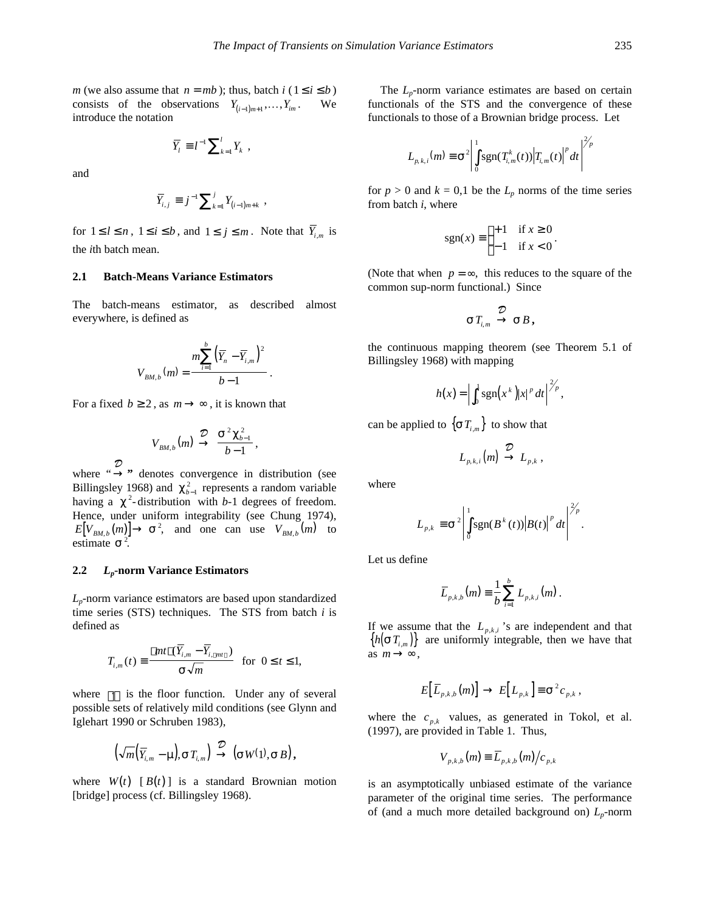*m* (we also assume that  $n = mb$ ); thus, batch  $i$  ( $1 \le i \le b$ ) consists of the observations  $Y_{(i-1)m+1}, \ldots, Y_{im}$ . We introduce the notation

$$
\overline{Y}_l \equiv l^{-1} \sum\nolimits_{k=1}^l Y_k \ ,
$$

and

$$
\overline{Y}_{i,j} \equiv j^{-1} \sum_{k=1}^{j} Y_{(i-1)m+k} ,
$$

for  $1 \leq l \leq n$ ,  $1 \leq i \leq b$ , and  $1 \leq j \leq m$ . Note that  $\overline{Y}_{i,m}$  is the *i*th batch mean.

### **2.1 Batch-Means Variance Estimators**

The batch-means estimator, as described almost everywhere, is defined as

$$
V_{BM,b}(m) = \frac{m \sum_{i=1}^{b} (\overline{Y}_n - \overline{Y}_{i,m})^2}{b-1}.
$$

For a fixed  $b \ge 2$ , as  $m \rightarrow \infty$ , it is known that

$$
V_{BM,b}(m) \stackrel{\mathcal{D}}{\rightarrow} \frac{\mathbf{s}^2 \mathbf{c}_{b-1}^2}{b-1},
$$

where "→ *D* **"** denotes convergence in distribution (see Billingsley 1968) and  $c_{b-1}^2$  represents a random variable having a  $c^2$ -distribution with *b*-1 degrees of freedom. Hence, under uniform integrability (see Chung 1974),  $E[V_{BM,b}(m)] \rightarrow s^2$ , and one can use  $V_{BM,b}(m)$  to estimate  $s^2$ .

### **2.2** *Lp***-norm Variance Estimators**

*Lp*-norm variance estimators are based upon standardized time series (STS) techniques. The STS from batch *i* is defined as

$$
T_{i,m}(t) \equiv \frac{\text{Lmt } \mathsf{J}(\overline{Y}_{i,m} - \overline{Y}_{i,\lfloor mt \rfloor})}{s\sqrt{m}} \text{ for } 0 \le t \le 1,
$$

where  $|\cdot|$  is the floor function. Under any of several possible sets of relatively mild conditions (see Glynn and Iglehart 1990 or Schruben 1983),

$$
\left(\sqrt{m}\left(\overline{Y}_{i,m}-\mathbf{m}\right),\mathbf{s}\,T_{i,m}\right)\stackrel{\mathcal{D}}{\rightarrow}\left(\mathbf{s}\,W(1),\mathbf{s}\,B\right),\,
$$

where  $W(t)$  [ $B(t)$ ] is a standard Brownian motion [bridge] process (cf. Billingsley 1968).

The *L<sub>p</sub>*-norm variance estimates are based on certain functionals of the STS and the convergence of these functionals to those of a Brownian bridge process. Let

$$
L_{p,k,i}(m) \equiv \mathbf{s}^{2} \left| \int_{0}^{1} \text{sgn}(T_{i,m}^{k}(t)) \left| T_{i,m}(t) \right|^{p} dt \right|^{2/p}
$$

for  $p > 0$  and  $k = 0,1$  be the  $L_p$  norms of the time series from batch *i*, where

$$
sgn(x) \equiv \begin{cases} +1 & \text{if } x \ge 0 \\ -1 & \text{if } x < 0 \end{cases}.
$$

(Note that when  $p = \infty$ , this reduces to the square of the common sup-norm functional.) Since

$$
\boldsymbol{s}\,T_{_{i,m}} \stackrel{\mathcal{D}}{\rightarrow} \boldsymbol{s}\,B\,,
$$

the continuous mapping theorem (see Theorem 5.1 of Billingsley 1968) with mapping

$$
h(x) = \left| \int_0^1 \operatorname{sgn}(x^k) |x|^p dt \right|_{\mathscr{F}}^{\mathscr{F}_p},
$$

can be applied to  $\{sT_{i,m}\}\)$  to show that

$$
L_{p,k,i}(m) \stackrel{\mathcal{D}}{\rightarrow} L_{p,k} ,
$$

where

$$
L_{p,k} \equiv \mathbf{s}^2 \left| \int_0^1 \text{sgn}(B^k(t)) \left| B(t) \right|^p dt \right|^{2/p}.
$$

Let us define

$$
\overline{L}_{p,k,b}(m) \equiv \frac{1}{b} \sum_{i=1}^{b} L_{p,k,i}(m) .
$$

If we assume that the  $L_{p,k,i}$  's are independent and that  ${h(\boldsymbol{s} T_{i,m})}$  are uniformly integrable, then we have that as  $m \rightarrow \infty$ ,

$$
E\big[\overline{L}_{p,k,b}(m)\big] \to E\big[L_{p,k}\big]\equiv \mathbf{s}^2 c_{p,k},
$$

where the  $c_{p,k}$  values, as generated in Tokol, et al. (1997), are provided in Table 1. Thus,

$$
V_{p,k,b}(m) \equiv \overline{L}_{p,k,b}(m)/c_{p,k}
$$

is an asymptotically unbiased estimate of the variance parameter of the original time series. The performance of (and a much more detailed background on)  $L_p$ -norm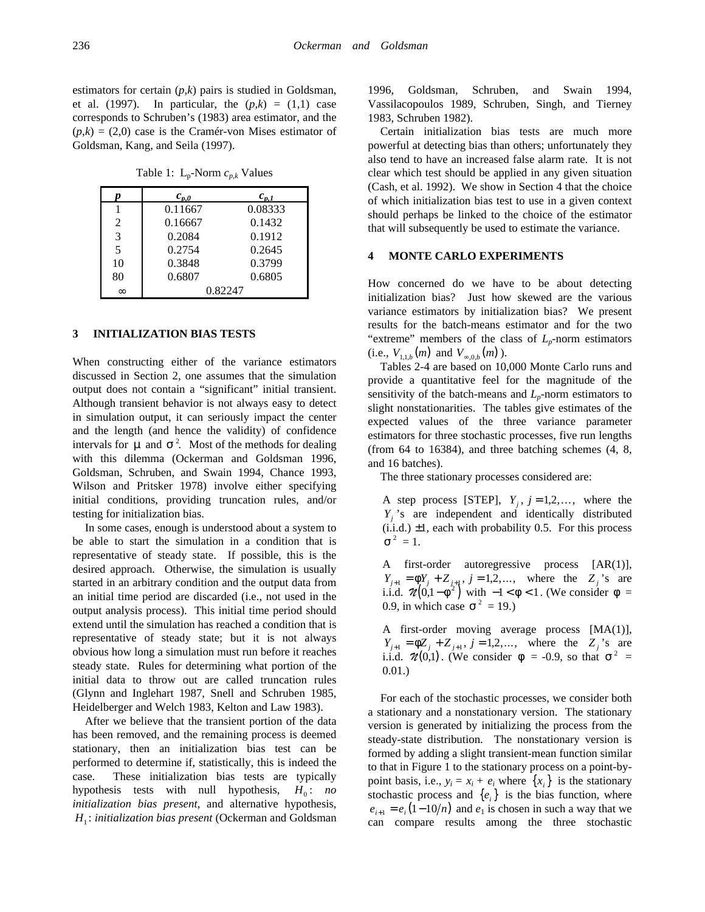estimators for certain (*p*,*k*) pairs is studied in Goldsman, et al. (1997). In particular, the  $(p,k) = (1,1)$  case corresponds to Schruben's (1983) area estimator, and the  $(p,k) = (2,0)$  case is the Cramér-von Mises estimator of Goldsman, Kang, and Seila (1997).

Table 1: Lp-Norm *cp,k* Values

|                | $c_{p,0}$ | $c_{p,1}$ |
|----------------|-----------|-----------|
|                | 0.11667   | 0.08333   |
| $\mathfrak{D}$ | 0.16667   | 0.1432    |
| 3              | 0.2084    | 0.1912    |
| 5              | 0.2754    | 0.2645    |
| 10             | 0.3848    | 0.3799    |
| 80             | 0.6807    | 0.6805    |
| $\infty$       |           | 0.82247   |

### **3 INITIALIZATION BIAS TESTS**

When constructing either of the variance estimators discussed in Section 2, one assumes that the simulation output does not contain a "significant" initial transient. Although transient behavior is not always easy to detect in simulation output, it can seriously impact the center and the length (and hence the validity) of confidence intervals for  $\boldsymbol{m}$  and  $\boldsymbol{s}^2$ . Most of the methods for dealing with this dilemma (Ockerman and Goldsman 1996, Goldsman, Schruben, and Swain 1994, Chance 1993, Wilson and Pritsker 1978) involve either specifying initial conditions, providing truncation rules, and/or testing for initialization bias.

In some cases, enough is understood about a system to be able to start the simulation in a condition that is representative of steady state. If possible, this is the desired approach. Otherwise, the simulation is usually started in an arbitrary condition and the output data from an initial time period are discarded (i.e., not used in the output analysis process). This initial time period should extend until the simulation has reached a condition that is representative of steady state; but it is not always obvious how long a simulation must run before it reaches steady state. Rules for determining what portion of the initial data to throw out are called truncation rules (Glynn and Inglehart 1987, Snell and Schruben 1985, Heidelberger and Welch 1983, Kelton and Law 1983).

After we believe that the transient portion of the data has been removed, and the remaining process is deemed stationary, then an initialization bias test can be performed to determine if, statistically, this is indeed the case. These initialization bias tests are typically hypothesis tests with null hypothesis,  $H_0$ : *no initialization bias present*, and alternative hypothesis, *H*<sup>1</sup> : *initialization bias present* (Ockerman and Goldsman

1996, Goldsman, Schruben, and Swain 1994, Vassilacopoulos 1989, Schruben, Singh, and Tierney 1983, Schruben 1982).

Certain initialization bias tests are much more powerful at detecting bias than others; unfortunately they also tend to have an increased false alarm rate. It is not clear which test should be applied in any given situation (Cash, et al. 1992). We show in Section 4 that the choice of which initialization bias test to use in a given context should perhaps be linked to the choice of the estimator that will subsequently be used to estimate the variance.

### **4 MONTE CARLO EXPERIMENTS**

How concerned do we have to be about detecting initialization bias? Just how skewed are the various variance estimators by initialization bias? We present results for the batch-means estimator and for the two "extreme" members of the class of *Lp*-norm estimators  $(i.e., V_{1,1,b}(m) \text{ and } V_{\infty,0,b}(m)).$ 

Tables 2-4 are based on 10,000 Monte Carlo runs and provide a quantitative feel for the magnitude of the sensitivity of the batch-means and  $L_p$ -norm estimators to slight nonstationarities. The tables give estimates of the expected values of the three variance parameter estimators for three stochastic processes, five run lengths (from 64 to 16384), and three batching schemes (4, 8, and 16 batches).

The three stationary processes considered are:

A step process [STEP],  $Y_i$ ,  $j = 1,2,...$ , where the *Yj* 's are independent and identically distributed  $(i.i.d.) \pm 1$ , each with probability 0.5. For this process  $s^2 = 1$ .

A first-order autoregressive process [AR(1)],  $Y_{j+1} = fY_j + Z_{j+1}, j = 1,2,...$ , where the  $Z_j$ 's are i.i.d.  $\mathcal{U}(0, 1 - f^2)$  with  $-1 < f < 1$ . (We consider  $f =$ 0.9, in which case  $s^2 = 19$ .)

A first-order moving average process [MA(1)],  $Y_{j+1} = fZ_j + Z_{j+1}, j = 1,2,...$ , where the  $Z_j$ 's are i.i.d.  $\mathcal{U}(0,1)$ . (We consider  $\mathbf{f} = -0.9$ , so that  $\mathbf{s}^2 =$ 0.01.)

For each of the stochastic processes, we consider both a stationary and a nonstationary version. The stationary version is generated by initializing the process from the steady-state distribution. The nonstationary version is formed by adding a slight transient-mean function similar to that in Figure 1 to the stationary process on a point-bypoint basis, i.e.,  $y_i = x_i + e_i$  where  $\{x_i\}$  is the stationary stochastic process and  ${e_i}$  is the bias function, where  $e_{i+1} = e_i (1-10/n)$  and  $e_1$  is chosen in such a way that we can compare results among the three stochastic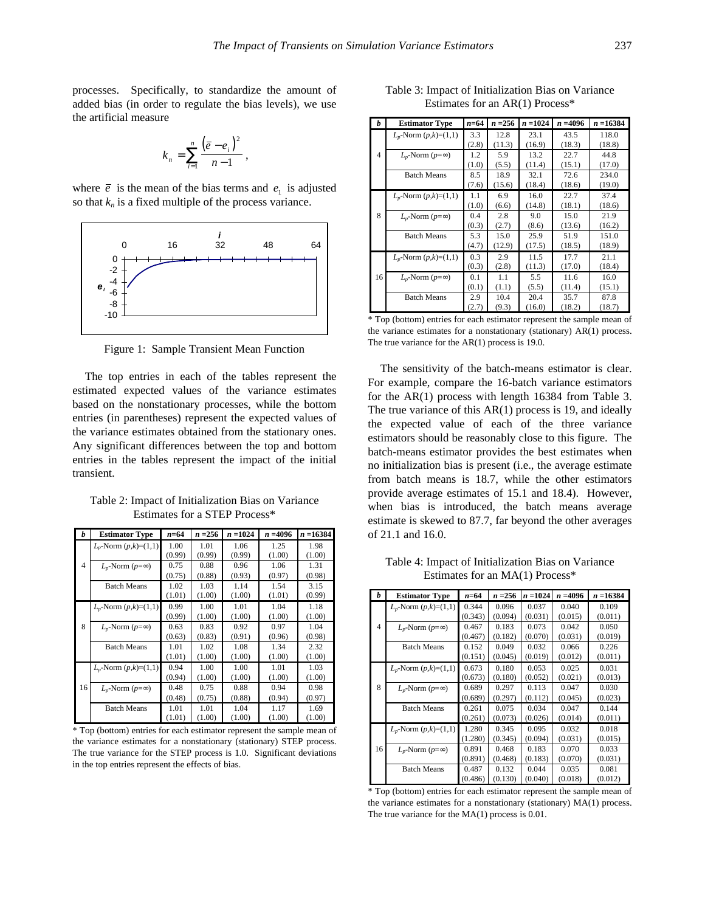processes. Specifically, to standardize the amount of added bias (in order to regulate the bias levels), we use the artificial measure

$$
k_n = \sum_{i=1}^n \frac{(\bar{e} - e_i)^2}{n-1},
$$

where  $\bar{e}$  is the mean of the bias terms and  $e_1$  is adjusted so that  $k_n$  is a fixed multiple of the process variance.



Figure 1: Sample Transient Mean Function

The top entries in each of the tables represent the estimated expected values of the variance estimates based on the nonstationary processes, while the bottom entries (in parentheses) represent the expected values of the variance estimates obtained from the stationary ones. Any significant differences between the top and bottom entries in the tables represent the impact of the initial transient.

| h  | <b>Estimator Type</b>      | $n = 64$ | $n = 256$ | $n = 1024$ | $n = 4096$ | $n = 16384$ |
|----|----------------------------|----------|-----------|------------|------------|-------------|
|    | $L_p$ -Norm $(p,k)=(1,1)$  | 1.00     | 1.01      | 1.06       | 1.25       | 1.98        |
|    |                            | (0.99)   | (0.99)    | (0.99)     | (1.00)     | (1.00)      |
| 4  | $L_n$ -Norm (p=∞)          | 0.75     | 0.88      | 0.96       | 1.06       | 1.31        |
|    |                            | (0.75)   | (0.88)    | (0.93)     | (0.97)     | (0.98)      |
|    | <b>Batch Means</b>         | 1.02     | 1.03      | 1.14       | 1.54       | 3.15        |
|    |                            | (1.01)   | (1.00)    | (1.00)     | (1.01)     | (0.99)      |
|    | $L_p$ -Norm $(p,k)=(1,1)$  | 0.99     | 1.00      | 1.01       | 1.04       | 1.18        |
|    |                            | (0.99)   | (1.00)    | (1.00)     | (1.00)     | (1.00)      |
| 8  | $L_p$ -Norm ( $p=\infty$ ) | 0.63     | 0.83      | 0.92       | 0.97       | 1.04        |
|    |                            | (0.63)   | (0.83)    | (0.91)     | (0.96)     | (0.98)      |
|    | <b>Batch Means</b>         | 1.01     | 1.02      | 1.08       | 1.34       | 2.32        |
|    |                            | (1.01)   | (1.00)    | (1.00)     | (1.00)     | (1.00)      |
|    | $L_p$ -Norm $(p,k)=(1,1)$  | 0.94     | 1.00      | 1.00       | 1.01       | 1.03        |
|    |                            | (0.94)   | (1.00)    | (1.00)     | (1.00)     | (1.00)      |
| 16 | $L_n$ -Norm (p=∞)          | 0.48     | 0.75      | 0.88       | 0.94       | 0.98        |
|    |                            | (0.48)   | (0.75)    | (0.88)     | (0.94)     | (0.97)      |
|    | <b>Batch Means</b>         | 1.01     | 1.01      | 1.04       | 1.17       | 1.69        |
|    |                            | (1.01)   | (1.00)    | (1.00)     | (1.00)     | (1.00)      |

Table 2: Impact of Initialization Bias on Variance Estimates for a STEP Process\*

\* Top (bottom) entries for each estimator represent the sample mean of the variance estimates for a nonstationary (stationary) STEP process. The true variance for the STEP process is 1.0. Significant deviations in the top entries represent the effects of bias.

| Table 3: Impact of Initialization Bias on Variance |  |
|----------------------------------------------------|--|
| Estimates for an $AR(1)$ Process*                  |  |

| h  | <b>Estimator Type</b>       | n=64  | $n = 256$ | $n = 1024$ | $n = 4096$ | $n = 16384$ |
|----|-----------------------------|-------|-----------|------------|------------|-------------|
|    | $L_p$ -Norm $(p,k)=(1,1)$   | 3.3   | 12.8      | 23.1       | 43.5       | 118.0       |
|    |                             | (2.8) | (11.3)    | (16.9)     | (18.3)     | (18.8)      |
| 4  | $L_p$ -Norm ( $p=\infty$ )  | 1.2   | 5.9       | 13.2       | 22.7       | 44.8        |
|    |                             | (1.0) | (5.5)     | (11.4)     | (15.1)     | (17.0)      |
|    | <b>Batch Means</b>          | 8.5   | 18.9      | 32.1       | 72.6       | 234.0       |
|    |                             | (7.6) | (15.6)    | (18.4)     | (18.6)     | (19.0)      |
|    | $L_p$ -Norm $(p,k)=(1,1)$   | 1.1   | 6.9       | 16.0       | 22.7       | 37.4        |
|    |                             | (1.0) | (6.6)     | (14.8)     | (18.1)     | (18.6)      |
| 8  | $Lp$ -Norm ( $p = \infty$ ) | 0.4   | 2.8       | 9.0        | 15.0       | 21.9        |
|    |                             | (0.3) | (2.7)     | (8.6)      | (13.6)     | (16.2)      |
|    | <b>Batch Means</b>          | 5.3   | 15.0      | 25.9       | 51.9       | 151.0       |
|    |                             | (4.7) | (12.9)    | (17.5)     | (18.5)     | (18.9)      |
|    | $L_p$ -Norm $(p,k)=(1,1)$   | 0.3   | 2.9       | 11.5       | 17.7       | 21.1        |
|    |                             | (0.3) | (2.8)     | (11.3)     | (17.0)     | (18.4)      |
| 16 | $L_p$ -Norm ( $p=\infty$ )  | 0.1   | 1.1       | 5.5        | 11.6       | 16.0        |
|    |                             | (0.1) | (1.1)     | (5.5)      | (11.4)     | (15.1)      |
|    | <b>Batch Means</b>          | 2.9   | 10.4      | 20.4       | 35.7       | 87.8        |
|    |                             | (2.7) | (9.3)     | (16.0)     | (18.2)     | (18.7)      |

\* Top (bottom) entries for each estimator represent the sample mean of the variance estimates for a nonstationary (stationary) AR(1) process. The true variance for the AR(1) process is 19.0.

The sensitivity of the batch-means estimator is clear. For example, compare the 16-batch variance estimators for the AR(1) process with length 16384 from Table 3. The true variance of this AR(1) process is 19, and ideally the expected value of each of the three variance estimators should be reasonably close to this figure. The batch-means estimator provides the best estimates when no initialization bias is present (i.e., the average estimate from batch means is 18.7, while the other estimators provide average estimates of 15.1 and 18.4). However, when bias is introduced, the batch means average estimate is skewed to 87.7, far beyond the other averages of 21.1 and 16.0.

Table 4: Impact of Initialization Bias on Variance Estimates for an MA(1) Process\*

| h  | <b>Estimator Type</b>      | n=64    | $n = 256$ | $n = 1024$ | $n = 4096$ | n =16384 |
|----|----------------------------|---------|-----------|------------|------------|----------|
|    | $L_p$ -Norm $(p,k)=(1,1)$  | 0.344   | 0.096     | 0.037      | 0.040      | 0.109    |
|    |                            | (0.343) | (0.094)   | (0.031)    | (0.015)    | (0.011)  |
| 4  | $L_p$ -Norm ( $p=\infty$ ) | 0.467   | 0.183     | 0.073      | 0.042      | 0.050    |
|    |                            | (0.467) | (0.182)   | (0.070)    | (0.031)    | (0.019)  |
|    | <b>Batch Means</b>         | 0.152   | 0.049     | 0.032      | 0.066      | 0.226    |
|    |                            | (0.151) | (0.045)   | (0.019)    | (0.012)    | (0.011)  |
|    | $L_p$ -Norm $(p,k)=(1,1)$  | 0.673   | 0.180     | 0.053      | 0.025      | 0.031    |
|    |                            | (0.673) | (0.180)   | (0.052)    | (0.021)    | (0.013)  |
| 8  | $L_n$ -Norm ( $p=\infty$ ) | 0.689   | 0.297     | 0.113      | 0.047      | 0.030    |
|    |                            | (0.689) | (0.297)   | (0.112)    | (0.045)    | (0.023)  |
|    | <b>Batch Means</b>         | 0.261   | 0.075     | 0.034      | 0.047      | 0.144    |
|    |                            | (0.261) | (0.073)   | (0.026)    | (0.014)    | (0.011)  |
|    | $L_p$ -Norm $(p,k)=(1,1)$  | 1.280   | 0.345     | 0.095      | 0.032      | 0.018    |
|    |                            | (1.280) | (0.345)   | (0.094)    | (0.031)    | (0.015)  |
| 16 | $L_p$ -Norm ( $p=\infty$ ) | 0.891   | 0.468     | 0.183      | 0.070      | 0.033    |
|    |                            | (0.891) | (0.468)   | (0.183)    | (0.070)    | (0.031)  |
|    | <b>Batch Means</b>         | 0.487   | 0.132     | 0.044      | 0.035      | 0.081    |
|    |                            | (0.486) | (0.130)   | (0.040)    | (0.018)    | (0.012)  |

\* Top (bottom) entries for each estimator represent the sample mean of the variance estimates for a nonstationary (stationary) MA(1) process. The true variance for the MA(1) process is 0.01.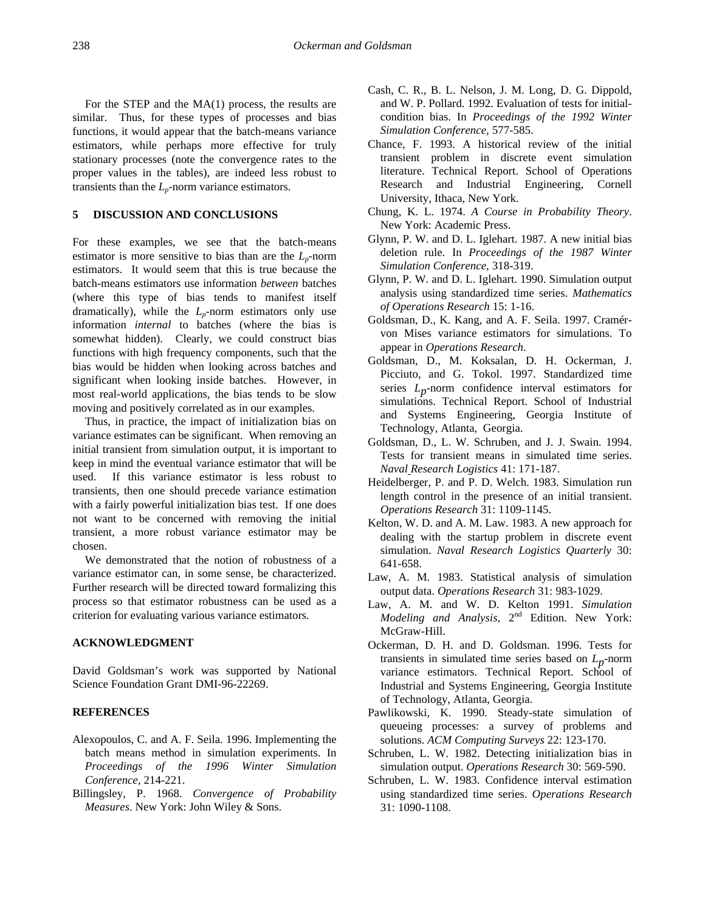For the STEP and the MA(1) process, the results are similar. Thus, for these types of processes and bias functions, it would appear that the batch-means variance estimators, while perhaps more effective for truly stationary processes (note the convergence rates to the proper values in the tables), are indeed less robust to transients than the  $L_p$ -norm variance estimators.

# **5 DISCUSSION AND CONCLUSIONS**

For these examples, we see that the batch-means estimator is more sensitive to bias than are the  $L_p$ -norm estimators. It would seem that this is true because the batch-means estimators use information *between* batches (where this type of bias tends to manifest itself dramatically), while the  $L_p$ -norm estimators only use information *internal* to batches (where the bias is somewhat hidden). Clearly, we could construct bias functions with high frequency components, such that the bias would be hidden when looking across batches and significant when looking inside batches. However, in most real-world applications, the bias tends to be slow moving and positively correlated as in our examples.

Thus, in practice, the impact of initialization bias on variance estimates can be significant. When removing an initial transient from simulation output, it is important to keep in mind the eventual variance estimator that will be used. If this variance estimator is less robust to transients, then one should precede variance estimation with a fairly powerful initialization bias test. If one does not want to be concerned with removing the initial transient, a more robust variance estimator may be chosen.

We demonstrated that the notion of robustness of a variance estimator can, in some sense, be characterized. Further research will be directed toward formalizing this process so that estimator robustness can be used as a criterion for evaluating various variance estimators.

# **ACKNOWLEDGMENT**

David Goldsman's work was supported by National Science Foundation Grant DMI-96-22269.

# **REFERENCES**

- Alexopoulos, C. and A. F. Seila. 1996. Implementing the batch means method in simulation experiments. In *Proceedings of the 1996 Winter Simulation Conference*, 214-221.
- Billingsley, P. 1968. *Convergence of Probability Measures*. New York: John Wiley & Sons.
- Cash, C. R., B. L. Nelson, J. M. Long, D. G. Dippold, and W. P. Pollard. 1992. Evaluation of tests for initialcondition bias. In *Proceedings of the 1992 Winter Simulation Conference*, 577-585.
- Chance, F. 1993. A historical review of the initial transient problem in discrete event simulation literature. Technical Report. School of Operations Research and Industrial Engineering, Cornell University, Ithaca, New York.
- Chung, K. L. 1974. *A Course in Probability Theory*. New York: Academic Press.
- Glynn, P. W. and D. L. Iglehart. 1987. A new initial bias deletion rule. In *Proceedings of the 1987 Winter Simulation Conference*, 318-319.
- Glynn, P. W. and D. L. Iglehart. 1990. Simulation output analysis using standardized time series. *Mathematics of Operations Research* 15: 1-16.
- Goldsman, D., K. Kang, and A. F. Seila. 1997. Cramérvon Mises variance estimators for simulations. To appear in *Operations Research*.
- Goldsman, D., M. Koksalan, D. H. Ockerman, J. Picciuto, and G. Tokol. 1997. Standardized time series *L*<sub>n</sub>-norm confidence interval estimators for simulations. Technical Report. School of Industrial and Systems Engineering, Georgia Institute of Technology, Atlanta, Georgia.
- Goldsman, D., L. W. Schruben, and J. J. Swain. 1994. Tests for transient means in simulated time series. *Naval Research Logistics* 41: 171-187.
- Heidelberger, P. and P. D. Welch. 1983. Simulation run length control in the presence of an initial transient. *Operations Research* 31: 1109-1145.
- Kelton, W. D. and A. M. Law. 1983. A new approach for dealing with the startup problem in discrete event simulation. *Naval Research Logistics Quarterly* 30: 641-658.
- Law, A. M. 1983. Statistical analysis of simulation output data. *Operations Research* 31: 983-1029.
- Law, A. M. and W. D. Kelton 1991. *Simulation Modeling and Analysis*, 2nd Edition. New York: McGraw-Hill.
- Ockerman, D. H. and D. Goldsman. 1996. Tests for transients in simulated time series based on *Lp*-norm variance estimators. Technical Report. School of Industrial and Systems Engineering, Georgia Institute of Technology, Atlanta, Georgia.
- Pawlikowski, K. 1990. Steady-state simulation of queueing processes: a survey of problems and solutions. *ACM Computing Surveys* 22: 123-170.
- Schruben, L. W. 1982. Detecting initialization bias in simulation output. *Operations Research* 30: 569-590.
- Schruben, L. W. 1983. Confidence interval estimation using standardized time series. *Operations Research* 31: 1090-1108.